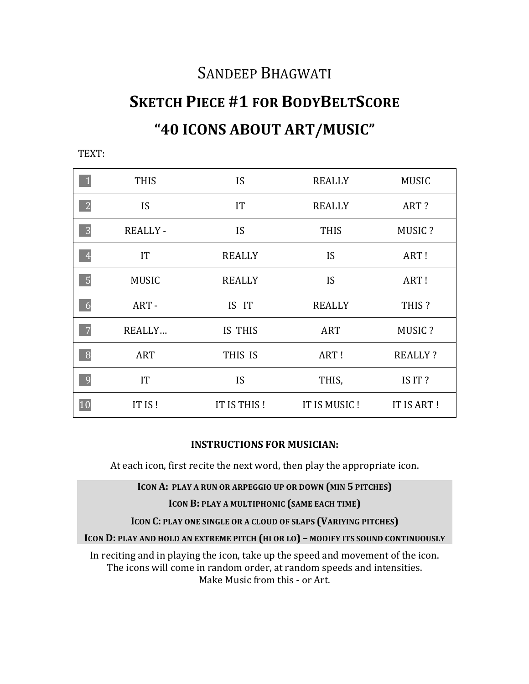## SANDEEP BHAGWATI

## **SKETCH PIECE #1 FOR BODYBELTSCORE "40 ICONS ABOUT ART/MUSIC"**

|                | <b>THIS</b>    | IS            | <b>REALLY</b> | <b>MUSIC</b>   |
|----------------|----------------|---------------|---------------|----------------|
| $\overline{2}$ | <b>IS</b>      | IT            | <b>REALLY</b> | ART?           |
| 3              | <b>REALLY-</b> | IS            | <b>THIS</b>   | MUSIC?         |
| $\overline{4}$ | <b>IT</b>      | <b>REALLY</b> | IS            | ART!           |
| $\overline{5}$ | <b>MUSIC</b>   | <b>REALLY</b> | IS            | ART!           |
| 6              | ART-           | IS IT         | <b>REALLY</b> | THIS?          |
| $\overline{7}$ | REALLY         | IS THIS       | <b>ART</b>    | MUSIC?         |
| 8              | <b>ART</b>     | THIS IS       | ART!          | <b>REALLY?</b> |
| 9              | IT             | IS            | THIS,         | IS IT?         |
| 10             | IT IS!         | IT IS THIS!   | IT IS MUSIC!  | IT IS ART!     |

TEXT:

## **INSTRUCTIONS FOR MUSICIAN:**

At each icon, first recite the next word, then play the appropriate icon.

**ICON A: PLAY A RUN OR ARPEGGIO UP OR DOWN (MIN 5 PITCHES)** 

**ICON B: PLAY A MULTIPHONIC (SAME EACH TIME)** 

**ICON C: PLAY ONE SINGLE OR A CLOUD OF SLAPS (VARIYING PITCHES)** 

**ICON D: PLAY AND HOLD AN EXTREME PITCH (HI OR LO) - MODIFY ITS SOUND CONTINUOUSLY** 

In reciting and in playing the icon, take up the speed and movement of the icon. The icons will come in random order, at random speeds and intensities. Make Music from this - or Art.